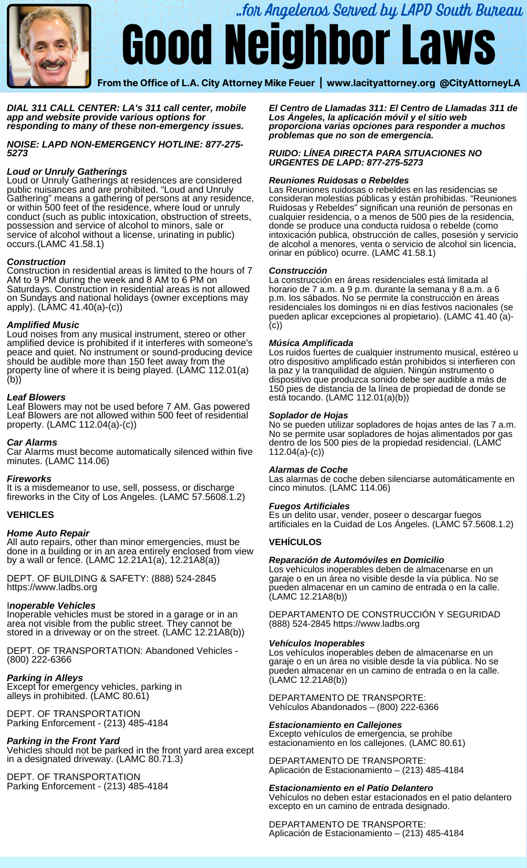

# Good Neighbor Laws ..for Angelenos Served by LAPD South Bureau

 **From the Office of L.A. City Attorney Mike Feuer | [www.lacityattorney.org](http://www.lacityattorney.org/) [@CityAttorneyLA](mailto:@CityAttorneyLA)**

## *DIAL 311 CALL CENTER: LA's 311 call [center](https://www.lacity.org/myla311), mobile app and website provide various options for responding to many of these non-emergency issues.*

 *NOISE: LAPD NON-EMERGENCY HOTLINE: 877-275- 5273*

# *Loud or Unruly Gatherings*

Loud or Unruly Gatherings at residences are considered public nuisances and are prohibited. "Loud and Unruly Gathering" means a gathering of persons at any residence, or within 500 feet of the residence, where loud or unruly conduct (such as public intoxication, obstruction of streets, possession and service of alcohol to minors, sale or service of alcohol without a license, urinating in public) occurs.(LAMC 41.58.1)

## *Construction*

 Construction in residential areas is limited to the hours of 7 AM to 9 PM during the week and 8 AM to 6 PM on Saturdays. Construction in residential areas is not allowed on Sundays and national holidays (owner exceptions may apply). (LAMC 41.40(a)-(c))

## *Amplified Music*

 Loud noises from any musical instrument, stereo or other should be audible more than 150 feet away from the property line of where it is being played. (LAMC 112.01(a) amplified device is prohibited if it interferes with someone's peace and quiet. No instrument or sound-producing device (b))

## *Leaf Blowers*

 Leaf Blowers may not be used before 7 AM. Gas powered Leaf Blowers are not allowed within 500 feet of residential property. (LAMC 112.04(a)-(c))

# *Car Alarms*

 Car Alarms must become automatically silenced within five minutes. (LAMC 114.06)

# *Fireworks*

 It is a misdemeanor to use, sell, possess, or discharge fireworks in the City of Los Angeles. (LAMC 57.5608.1.2)

# **VEHICLES**

# *Home Auto Repair*

All auto repairs, other than minor emergencies, must be done in a building or in an area entirely enclosed from view by a wall or fence. (LAMC 12.21A1(a), 12.21A8(a))

 DEPT. OF BUILDING & SAFETY: (888) 524-2845 [https://www.ladbs.org](https://www.ladbs.org/)

# I*noperable Vehicles*

 Inoperable vehicles must be stored in a garage or in an area not visible from the public street. They cannot be stored in a driveway or on the street. (LAMC 12.21A8(b))

DEPT. OF TRANSPORTATION: Abandoned Vehicles - (800) 222-6366

# *Parking in Alleys*

Ī Except for emergency vehicles, parking in alleys in prohibited. (LAMC 80.61)

 DEPT. OF TRANSPORTATION Parking Enforcement - (213) 485-4184

# *Parking in the Front Yard*

 Vehicles should not be parked in the front yard area except in a designated driveway. (LAMC 80.71.3)

 DEPT. OF TRANSPORTATION Parking Enforcement - (213) 485-4184

*El Centro de Llamadas 311: El Centro de Llamadas 311 de Los Ángeles, la aplicación móvil y el sitio web proporciona varias opciones para responder a muchos problemas que no son de emergencia.*

## *RUIDO: LÍNEA DIRECTA PARA SITUACIONES NO URGENTES DE LAPD: 877-275-5273*

## *Reuniones Ruidosas o Rebeldes*

Las Reuniones ruidosas o rebeldes en las residencias se consideran molestias públicas y están prohibidas. "Reuniones Ruidosas y Rebeldes" significan una reunión de personas en cualquier residencia, o a menos de 500 pies de la residencia, donde se produce una conducta ruidosa o rebelde (como intoxicación publica, obstrucción de calles, posesión y servicio de alcohol a menores, venta o servicio de alcohol sin licencia, orinar en público) ocurre. (LAMC 41.58.1)

## *Construcción*

La construcción en áreas residenciales está limitada al horario de 7 a.m. a 9 p.m. durante la semana y 8 a.m. a 6 p.m. los sábados. No se permite la construcción en áreas residenciales los domingos ni en días festivos nacionales (se pueden aplicar excepciones al propietario). (LAMC 41.40 (a)- (c))

## *Música Amplificada*

Los ruidos fuertes de cualquier instrumento musical, estéreo u otro dispositivo amplificado están prohibidos si interfieren con la paz y la tranquilidad de alguien. Ningún instrumento o dispositivo que produzca sonido debe ser audible a más de 150 pies de distancia de la línea de propiedad de donde se está tocando. (LAMC 112.01(a)(b))

## *Soplador de Hojas*

No se pueden utilizar sopladores de hojas antes de las 7 a.m. No se permite usar sopladores de hojas alimentados por gas dentro de los 500 pies de la propiedad residencial. (LAMC 112.04(a)-(c))

## *Alarmas de Coche*

Las alarmas de coche deben silenciarse automáticamente en cinco minutos. (LAMC 114.06)

# *Fuegos Artificiales*

Es un delito usar, vender, poseer o descargar fuegos artificiales en la Cuidad de Los Ángeles. (LAMC 57.5608.1.2)

# **VEHÍCULOS**

# *Reparación de Automóviles en Domicilio*

Los vehículos inoperables deben de almacenarse en un garaje o en un área no visible desde la vía pública. No se pueden almacenar en un camino de entrada o en la calle. (LAMC 12.21A8(b))

DEPARTAMENTO DE CONSTRUCCIÓN Y SEGURIDAD (888) 524-2845<https://www.ladbs.org>

## *Vehículos Inoperables*

Los vehículos inoperables deben de almacenarse en un garaje o en un área no visible desde la vía pública. No se pueden almacenar en un camino de entrada o en la calle. (LAMC 12.21A8(b))

DEPARTAMENTO DE TRANSPORTE: Vehículos Abandonados – (800) 222-6366

# *Estacionamiento en Callejones*

Excepto vehículos de emergencia, se prohíbe estacionamiento en los callejones. (LAMC 80.61)

DEPARTAMENTO DE TRANSPORTE: Aplicación de Estacionamiento – (213) 485-4184

# *Estacionamiento en el Patio Delantero*

Vehículos no deben estar estacionados en el patio delantero excepto en un camino de entrada designado.

## DEPARTAMENTO DE TRANSPORTE: Aplicación de Estacionamiento – (213) 485-4184